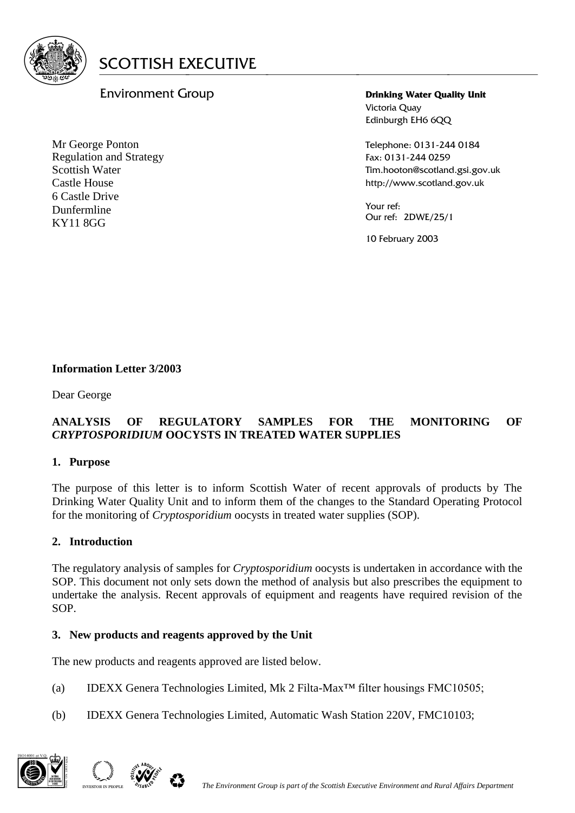

# Environment Group

Mr George Ponton Regulation and Strategy Scottish Water Castle House 6 Castle Drive Dunfermline KY11 8GG

**Drinking Water Quality Unit** Victoria Quay Edinburgh EH6 6QQ

Telephone: 0131-244 0184 Fax: 0131-244 0259 Tim.hooton@scotland.gsi.gov.uk http://www.scotland.gov.uk

Your ref: Our ref: 2DWE/25/1

10 February 2003

### **Information Letter 3/2003**

Dear George

#### **ANALYSIS OF REGULATORY SAMPLES FOR THE MONITORING OF**  *CRYPTOSPORIDIUM* **OOCYSTS IN TREATED WATER SUPPLIES**

#### **1. Purpose**

The purpose of this letter is to inform Scottish Water of recent approvals of products by The Drinking Water Quality Unit and to inform them of the changes to the Standard Operating Protocol for the monitoring of *Cryptosporidium* oocysts in treated water supplies (SOP).

#### **2. Introduction**

The regulatory analysis of samples for *Cryptosporidium* oocysts is undertaken in accordance with the SOP. This document not only sets down the method of analysis but also prescribes the equipment to undertake the analysis. Recent approvals of equipment and reagents have required revision of the SOP.

#### **3. New products and reagents approved by the Unit**

The new products and reagents approved are listed below.

- (a) IDEXX Genera Technologies Limited, Mk 2 Filta-Max™ filter housings FMC10505;
- (b) IDEXX Genera Technologies Limited, Automatic Wash Station 220V, FMC10103;



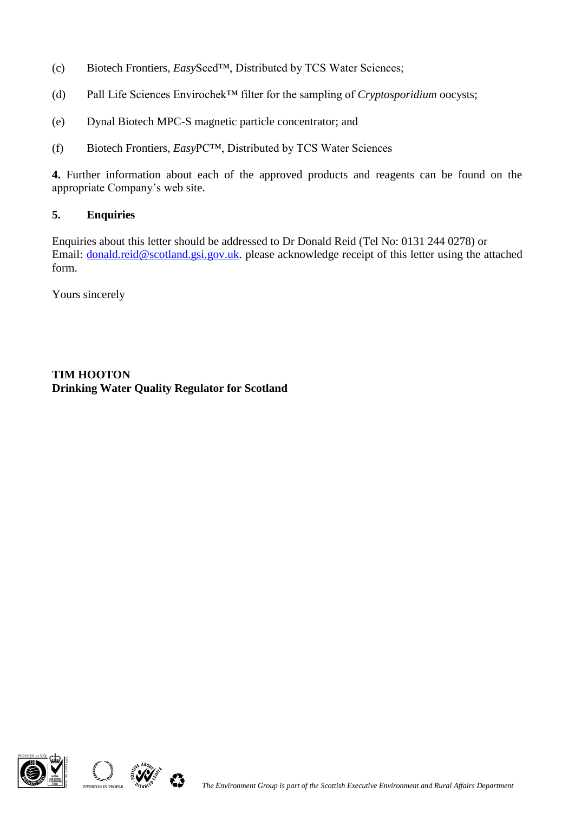- (c) Biotech Frontiers, *Easy*Seed™, Distributed by TCS Water Sciences;
- (d) Pall Life Sciences Envirochek™ filter for the sampling of *Cryptosporidium* oocysts;
- (e) Dynal Biotech MPC-S magnetic particle concentrator; and
- (f) Biotech Frontiers, *Easy*PC™, Distributed by TCS Water Sciences

**4.** Further information about each of the approved products and reagents can be found on the appropriate Company's web site.

#### **5. Enquiries**

Enquiries about this letter should be addressed to Dr Donald Reid (Tel No: 0131 244 0278) or Email: [donald.reid@scotland.gsi.gov.uk.](mailto:donald.reid@scotland.gsi.gov.uk) please acknowledge receipt of this letter using the attached form.

Yours sincerely

## **TIM HOOTON Drinking Water Quality Regulator for Scotland**